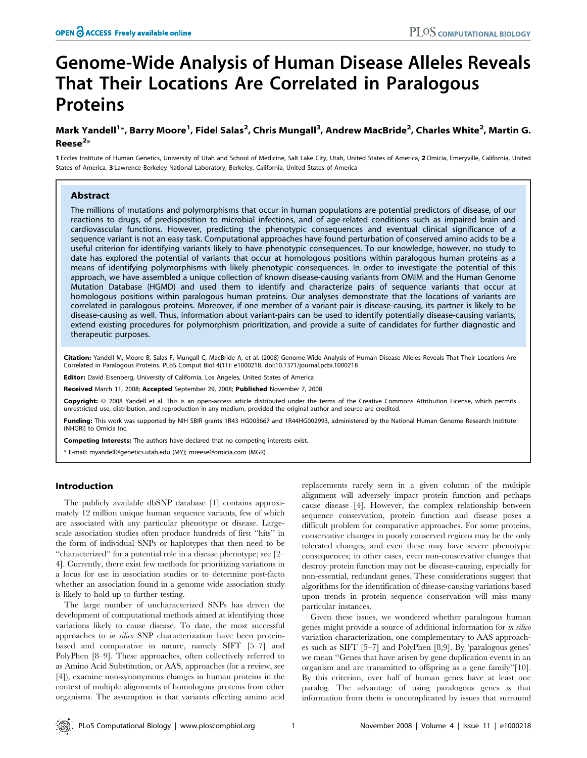# Genome-Wide Analysis of Human Disease Alleles Reveals That Their Locations Are Correlated in Paralogous **Proteins**

# Mark Yandell<sup>1</sup>\*, Barry Moore<sup>1</sup>, Fidel Salas<sup>2</sup>, Chris Mungall<sup>3</sup>, Andrew MacBride<sup>2</sup>, Charles White<sup>2</sup>, Martin G.  $\text{Reese}^{2*}$

1 Eccles Institute of Human Genetics, University of Utah and School of Medicine, Salt Lake City, Utah, United States of America, 2 Omicia, Emeryville, California, United States of America, 3 Lawrence Berkeley National Laboratory, Berkeley, California, United States of America

# Abstract

The millions of mutations and polymorphisms that occur in human populations are potential predictors of disease, of our reactions to drugs, of predisposition to microbial infections, and of age-related conditions such as impaired brain and cardiovascular functions. However, predicting the phenotypic consequences and eventual clinical significance of a sequence variant is not an easy task. Computational approaches have found perturbation of conserved amino acids to be a useful criterion for identifying variants likely to have phenotypic consequences. To our knowledge, however, no study to date has explored the potential of variants that occur at homologous positions within paralogous human proteins as a means of identifying polymorphisms with likely phenotypic consequences. In order to investigate the potential of this approach, we have assembled a unique collection of known disease-causing variants from OMIM and the Human Genome Mutation Database (HGMD) and used them to identify and characterize pairs of sequence variants that occur at homologous positions within paralogous human proteins. Our analyses demonstrate that the locations of variants are correlated in paralogous proteins. Moreover, if one member of a variant-pair is disease-causing, its partner is likely to be disease-causing as well. Thus, information about variant-pairs can be used to identify potentially disease-causing variants, extend existing procedures for polymorphism prioritization, and provide a suite of candidates for further diagnostic and therapeutic purposes.

Citation: Yandell M, Moore B, Salas F, Mungall C, MacBride A, et al. (2008) Genome-Wide Analysis of Human Disease Alleles Reveals That Their Locations Are Correlated in Paralogous Proteins. PLoS Comput Biol 4(11): e1000218. doi:10.1371/journal.pcbi.1000218

Editor: David Eisenberg, University of California, Los Angeles, United States of America

Received March 11, 2008; Accepted September 29, 2008; Published November 7, 2008

Copyright: @ 2008 Yandell et al. This is an open-access article distributed under the terms of the Creative Commons Attribution License, which permits unrestricted use, distribution, and reproduction in any medium, provided the original author and source are credited.

Funding: This work was supported by NIH SBIR grants 1R43 HG003667 and 1R44HG002993, administered by the National Human Genome Research Institute (NHGRI) to Omicia Inc.

Competing Interests: The authors have declared that no competing interests exist.

\* E-mail: myandell@genetics.utah.edu (MY); mreese@omicia.com (MGR)

# Introduction

The publicly available dbSNP database [1] contains approximately 12 million unique human sequence variants, few of which are associated with any particular phenotype or disease. Largescale association studies often produce hundreds of first ''hits'' in the form of individual SNPs or haplotypes that then need to be ''characterized'' for a potential role in a disease phenotype; see [2– 4]. Currently, there exist few methods for prioritizing variations in a locus for use in association studies or to determine post-facto whether an association found in a genome wide association study is likely to hold up to further testing.

The large number of uncharacterized SNPs has driven the development of computational methods aimed at identifying those variations likely to cause disease. To date, the most successful approaches to in silico SNP characterization have been proteinbased and comparative in nature, namely SIFT [5–7] and PolyPhen [8–9]. These approaches, often collectively referred to as Amino Acid Substitution, or AAS, approaches (for a review, see [4]), examine non-synonymous changes in human proteins in the context of multiple alignments of homologous proteins from other organisms. The assumption is that variants effecting amino acid replacements rarely seen in a given column of the multiple alignment will adversely impact protein function and perhaps cause disease [4]. However, the complex relationship between sequence conservation, protein function and disease poses a difficult problem for comparative approaches. For some proteins, conservative changes in poorly conserved regions may be the only tolerated changes, and even these may have severe phenotypic consequences; in other cases, even non-conservative changes that destroy protein function may not be disease-causing, especially for non-essential, redundant genes. These considerations suggest that algorithms for the identification of disease-causing variations based upon trends in protein sequence conservation will miss many particular instances.

Given these issues, we wondered whether paralogous human genes might provide a source of additional information for in silico variation characterization, one complementary to AAS approaches such as SIFT [5–7] and PolyPhen [8,9]. By 'paralogous genes' we mean ''Genes that have arisen by gene duplication events in an organism and are transmitted to offspring as a gene family''[10]. By this criterion, over half of human genes have at least one paralog. The advantage of using paralogous genes is that information from them is uncomplicated by issues that surround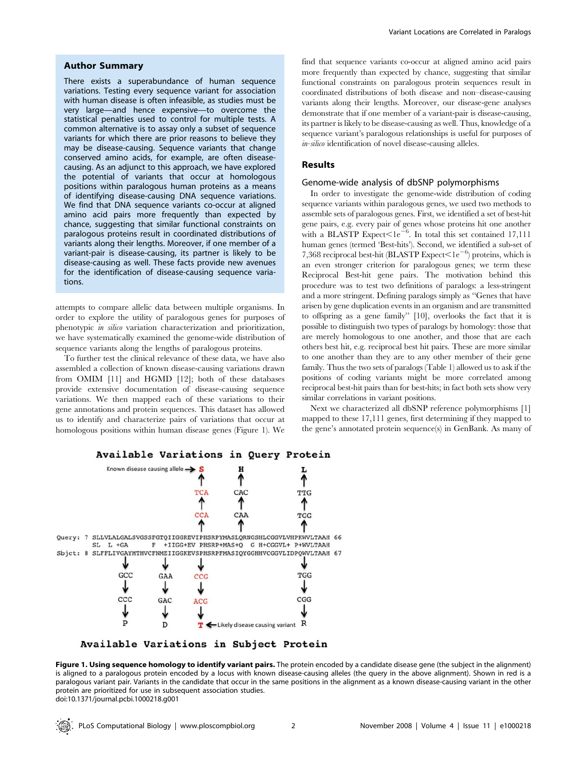## Author Summary

There exists a superabundance of human sequence variations. Testing every sequence variant for association with human disease is often infeasible, as studies must be very large—and hence expensive—to overcome the statistical penalties used to control for multiple tests. A common alternative is to assay only a subset of sequence variants for which there are prior reasons to believe they may be disease-causing. Sequence variants that change conserved amino acids, for example, are often diseasecausing. As an adjunct to this approach, we have explored the potential of variants that occur at homologous positions within paralogous human proteins as a means of identifying disease-causing DNA sequence variations. We find that DNA sequence variants co-occur at aligned amino acid pairs more frequently than expected by chance, suggesting that similar functional constraints on paralogous proteins result in coordinated distributions of variants along their lengths. Moreover, if one member of a variant-pair is disease-causing, its partner is likely to be disease-causing as well. These facts provide new avenues for the identification of disease-causing sequence variations.

attempts to compare allelic data between multiple organisms. In order to explore the utility of paralogous genes for purposes of phenotypic in silico variation characterization and prioritization, we have systematically examined the genome-wide distribution of sequence variants along the lengths of paralogous proteins.

To further test the clinical relevance of these data, we have also assembled a collection of known disease-causing variations drawn from OMIM [11] and HGMD [12]; both of these databases provide extensive documentation of disease-causing sequence variations. We then mapped each of these variations to their gene annotations and protein sequences. This dataset has allowed us to identify and characterize pairs of variations that occur at homologous positions within human disease genes (Figure 1). We find that sequence variants co-occur at aligned amino acid pairs more frequently than expected by chance, suggesting that similar functional constraints on paralogous protein sequences result in coordinated distributions of both disease and non–disease-causing variants along their lengths. Moreover, our disease-gene analyses demonstrate that if one member of a variant-pair is disease-causing, its partner is likely to be disease-causing as well. Thus, knowledge of a sequence variant's paralogous relationships is useful for purposes of in-silico identification of novel disease-causing alleles.

#### Results

# Genome-wide analysis of dbSNP polymorphisms

In order to investigate the genome-wide distribution of coding sequence variants within paralogous genes, we used two methods to assemble sets of paralogous genes. First, we identified a set of best-hit gene pairs, e.g. every pair of genes whose proteins hit one another with a BLASTP Expect<1e<sup>-6</sup>. In total this set contained 17,111 human genes (termed 'Best-hits'). Second, we identified a sub-set of 7,368 reciprocal best-hit (BLASTP Expect<1e<sup>-6</sup>) proteins, which is an even stronger criterion for paralogous genes; we term these Reciprocal Best-hit gene pairs. The motivation behind this procedure was to test two definitions of paralogs: a less-stringent and a more stringent. Defining paralogs simply as ''Genes that have arisen by gene duplication events in an organism and are transmitted to offspring as a gene family'' [10], overlooks the fact that it is possible to distinguish two types of paralogs by homology: those that are merely homologous to one another, and those that are each others best hit, e.g. reciprocal best hit pairs. These are more similar to one another than they are to any other member of their gene family. Thus the two sets of paralogs (Table 1) allowed us to ask if the positions of coding variants might be more correlated among reciprocal best-hit pairs than for best-hits; in fact both sets show very similar correlations in variant positions.

Next we characterized all dbSNP reference polymorphisms [1] mapped to these 17,111 genes, first determining if they mapped to the gene's annotated protein sequence(s) in GenBank. As many of



Available Variations in Query Protein

Available Variations in Subject Protein

Figure 1. Using sequence homology to identify variant pairs. The protein encoded by a candidate disease gene (the subject in the alignment) is aligned to a paralogous protein encoded by a locus with known disease-causing alleles (the query in the above alignment). Shown in red is a paralogous variant pair. Variants in the candidate that occur in the same positions in the alignment as a known disease-causing variant in the other protein are prioritized for use in subsequent association studies. doi:10.1371/journal.pcbi.1000218.g001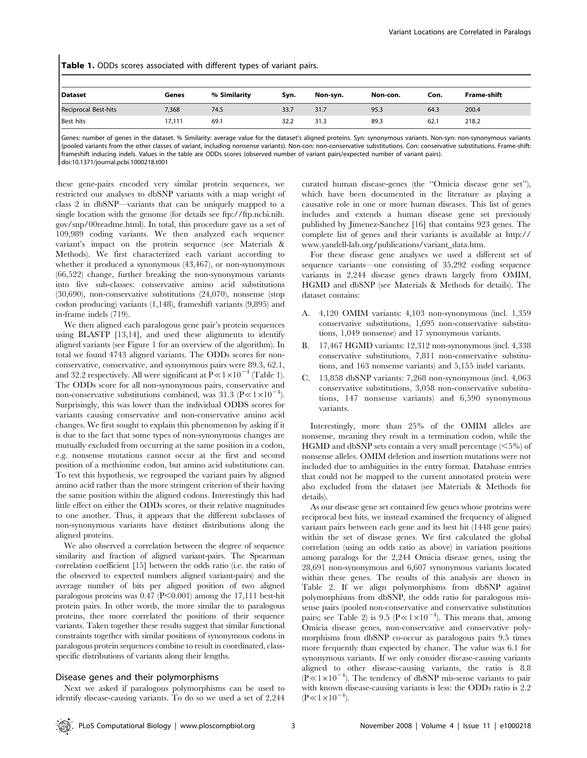| <b>Table 1.</b> ODDs scores associated with different types of variant pairs. |        |              |      |          |          |      |             |
|-------------------------------------------------------------------------------|--------|--------------|------|----------|----------|------|-------------|
| <b>Dataset</b>                                                                | Genes  | % Similarity | Syn. | Non-syn. | Non-con. | Con. | Frame-shift |
| <b>Reciprocal Best-hits</b>                                                   | 7,368  | 74.5         | 33.7 | 31.7     | 95.3     | 64.3 | 200.4       |
| <b>Best hits</b>                                                              | 17.111 | 69.1         | 32.2 | 31.3     | 89.3     | 62.1 | 218.2       |

Genes: number of genes in the dataset. % Similarity: average value for the dataset's aligned proteins. Syn: synonymous variants. Non-syn: non-synonymous variants (pooled variants from the other classes of variant, including nonsense variants). Non-con: non-conservative substitutions. Con: conservative substitutions. Frame-shift: frameshift inducing indels. Values in the table are ODDs scores (observed number of variant pairs/expected number of variant pairs). doi:10.1371/journal.pcbi.1000218.t001

these gene-pairs encoded very similar protein sequences, we restricted our analyses to dbSNP variants with a map weight of class 2 in dbSNP—variants that can be uniquely mapped to a single location with the genome (for details see ftp://ftp.ncbi.nih. gov/snp/00readme.html). In total, this procedure gave us a set of 109,989 coding variants. We then analyzed each sequence variant's impact on the protein sequence (see Materials & Methods). We first characterized each variant according to whether it produced a synonymous (43,467), or non-synonymous (66,522) change, further breaking the non-synonymous variants into five sub-classes: conservative amino acid substitutions (30,690), non-conservative substitutions (24,070), nonsense (stop codon producing) variants (1,148), frameshift variants (9,895) and in-frame indels (719).

We then aligned each paralogous gene pair's protein sequences using BLASTP [13,14], and used these alignments to identify aligned variants (see Figure 1 for an overview of the algorithm). In total we found 4743 aligned variants. The ODDs scores for nonconservative, conservative, and synonymous pairs were 89.3, 62.1, and 32.2 respectively. All were significant at  $P \ll 1 \times 10^{-4}$  (Table 1). The ODDs score for all non-synonymous pairs, conservative and non-conservative substitutions combined, was 31.3 ( $P \ll 1 \times 10^{-4}$ ). Surprisingly, this was lower than the individual ODDS scores for variants causing conservative and non-conservative amino acid changes. We first sought to explain this phenomenon by asking if it is due to the fact that some types of non-synonymous changes are mutually excluded from occurring at the same position in a codon, e.g. nonsense mutations cannot occur at the first and second position of a methionine codon, but amino acid substitutions can. To test this hypothesis, we regrouped the variant pairs by aligned amino acid rather than the more stringent criterion of their having the same position within the aligned codons. Interestingly this had little effect on either the ODDs scores, or their relative magnitudes to one another. Thus, it appears that the different subclasses of non-synonymous variants have distinct distributions along the aligned proteins.

We also observed a correlation between the degree of sequence similarity and fraction of aligned variant-pairs. The Spearman correlation coefficient [15] between the odds ratio (i.e. the ratio of the observed to expected numbers aligned variant-pairs) and the average number of bits per aligned position of two aligned paralogous proteins was  $0.47$  (P<0.001) among the 17,111 best-hit protein pairs. In other words, the more similar the to paralogous proteins, thee more correlated the positions of their sequence variants. Taken together these results suggest that similar functional constraints together with similar positions of synonymous codons in paralogous protein sequences combine to result in coordinated, classspecific distributions of variants along their lengths.

# Disease genes and their polymorphisms

Next we asked if paralogous polymorphisms can be used to identify disease-causing variants. To do so we used a set of 2,244

curated human disease-genes (the ''Omicia disease gene set''), which have been documented in the literature as playing a causative role in one or more human diseases. This list of genes includes and extends a human disease gene set previously published by Jimenez-Sanchez [16] that contains 923 genes. The complete list of genes and their variants is available at http:// www.yandell-lab.org/publications/variant\_data.htm.

For these disease gene analyses we used a different set of sequence variants—one consisting of 35,292 coding sequence variants in 2,244 disease genes drawn largely from OMIM, HGMD and dbSNP (see Materials & Methods for details). The dataset contains:

- A. 4,120 OMIM variants: 4,103 non-synonymous (incl. 1,359 conservative substitutions, 1,695 non-conservative substitutions, 1,049 nonsense) and 17 synonymous variants.
- B. 17,467 HGMD variants: 12,312 non-synonymous (incl. 4,338 conservative substitutions, 7,811 non-conservative substitutions, and 163 nonsense variants) and 5,155 indel variants.
- C. 13,858 dbSNP variants: 7,268 non-synonymous (incl. 4,063 conservative substitutions, 3,058 non-conservative substitutions, 147 nonsense variants) and 6,590 synonymous variants.

Interestingly, more than 25% of the OMIM alleles are nonsense, meaning they result in a termination codon, while the HGMD and dbSNP sets contain a very small percentage  $(<5\%)$  of nonsense alleles. OMIM deletion and insertion mutations were not included due to ambiguities in the entry format. Database entries that could not be mapped to the current annotated protein were also excluded from the dataset (see Materials & Methods for details).

As our disease gene set contained few genes whose proteins were reciprocal best hits, we instead examined the frequency of aligned variant pairs between each gene and its best hit (1448 gene pairs) within the set of disease genes. We first calculated the global correlation (using an odds ratio as above) in variation positions among paralogs for the 2,244 Omicia disease genes, using the 28,691 non-synonymous and 6,607 synonymous variants located within these genes. The results of this analysis are shown in Table 2. If we align polymorphisms from dbSNP against polymorphisms from dbSNP, the odds ratio for paralogous missense pairs (pooled non-conservative and conservative substitution pairs; see Table 2) is 9.5 ( $P \ll 1 \times 10^{-4}$ ). This means that, among Omicia disease genes, non-conservative and conservative polymorphisms from dbSNP co-occur as paralogous pairs 9.5 times more frequently than expected by chance. The value was 6.1 for synonymous variants. If we only consider disease-causing variants aligned to other disease-causing variants, the ratio is 8.8  $(P \ll 1 \times 10^{-4})$ . The tendency of dbSNP mis-sense variants to pair with known disease-causing variants is less: the ODDs ratio is 2.2  $(P \ll 1 \times 10^{-4})$ .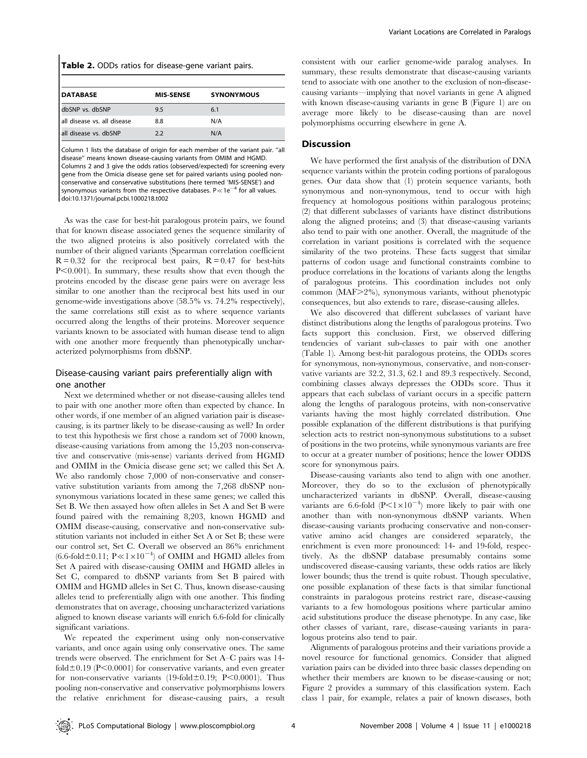| <b>Table 2.</b> ODDs ratios for disease-gene variant pairs. |                  |                   |  |  |
|-------------------------------------------------------------|------------------|-------------------|--|--|
|                                                             |                  |                   |  |  |
| <b>DATABASE</b>                                             | <b>MIS-SENSE</b> | <b>SYNONYMOUS</b> |  |  |
| dbSNP vs. dbSNP                                             | 9.5              | 6.1               |  |  |
| all disease vs. all disease                                 | 8.8              | N/A               |  |  |
| all disease vs. dbSNP                                       | 22               | N/A               |  |  |

Column 1 lists the database of origin for each member of the variant pair. ''all disease'' means known disease-causing variants from OMIM and HGMD. Columns 2 and 3 give the odds ratios (observed/expected) for screening every gene from the Omicia disease gene set for paired variants using pooled nonconservative and conservative substitutions (here termed 'MIS-SENSE') and synonymous variants from the respective databases.  $P \ll 1e^{-4}$  for all values. doi:10.1371/journal.pcbi.1000218.t002

As was the case for best-hit paralogous protein pairs, we found that for known disease associated genes the sequence similarity of the two aligned proteins is also positively correlated with the number of their aligned variants (Spearman correlation coefficient  $R = 0.32$  for the reciprocal best pairs,  $R = 0.47$  for best-hits P<0.001). In summary, these results show that even though the proteins encoded by the disease gene pairs were on average less similar to one another than the reciprocal best hits used in our genome-wide investigations above (58.5% vs. 74.2% respectively), the same correlations still exist as to where sequence variants occurred along the lengths of their proteins. Moreover sequence variants known to be associated with human disease tend to align with one another more frequently than phenotypically uncharacterized polymorphisms from dbSNP.

# Disease-causing variant pairs preferentially align with one another

Next we determined whether or not disease-causing alleles tend to pair with one another more often than expected by chance. In other words, if one member of an aligned variation pair is diseasecausing, is its partner likely to be disease-causing as well? In order to test this hypothesis we first chose a random set of 7000 known, disease-causing variations from among the 15,203 non-conservative and conservative (mis-sense) variants derived from HGMD and OMIM in the Omicia disease gene set; we called this Set A. We also randomly chose 7,000 of non-conservative and conservative substitution variants from among the 7,268 dbSNP nonsynonymous variations located in these same genes; we called this Set B. We then assayed how often alleles in Set A and Set B were found paired with the remaining 8,203, known HGMD and OMIM disease-causing, conservative and non-conservative substitution variants not included in either Set A or Set B; these were our control set, Set C. Overall we observed an 86% enrichment  $(6.6\text{-fold} \pm 0.11; P \ll 1 \times 10^{-4})$  of OMIM and HGMD alleles from Set A paired with disease-causing OMIM and HGMD alleles in Set C, compared to dbSNP variants from Set B paired with OMIM and HGMD alleles in Set C. Thus, known disease-causing alleles tend to preferentially align with one another. This finding demonstrates that on average, choosing uncharacterized variations aligned to known disease variants will enrich 6.6-fold for clinically significant variations.

We repeated the experiment using only non-conservative variants, and once again using only conservative ones. The same trends were observed. The enrichment for Set A–C pairs was 14 fold $\pm$ 0.19 (P<0.0001) for conservative variants, and even greater for non-conservative variants (19-fold $\pm$ 0.19; P<0.0001). Thus pooling non-conservative and conservative polymorphisms lowers the relative enrichment for disease-causing pairs, a result consistent with our earlier genome-wide paralog analyses. In summary, these results demonstrate that disease-causing variants tend to associate with one another to the exclusion of non-diseasecausing variants—implying that novel variants in gene A aligned with known disease-causing variants in gene B (Figure 1) are on average more likely to be disease-causing than are novel polymorphisms occurring elsewhere in gene A.

# **Discussion**

We have performed the first analysis of the distribution of DNA sequence variants within the protein coding portions of paralogous genes. Our data show that (1) protein sequence variants, both synonymous and non-synonymous, tend to occur with high frequency at homologous positions within paralogous proteins; (2) that different subclasses of variants have distinct distributions along the aligned proteins; and (3) that disease-causing variants also tend to pair with one another. Overall, the magnitude of the correlation in variant positions is correlated with the sequence similarity of the two proteins. These facts suggest that similar patterns of codon usage and functional constraints combine to produce correlations in the locations of variants along the lengths of paralogous proteins. This coordination includes not only common ( $MAF > 2\%$ ), synonymous variants, without phenotypic consequences, but also extends to rare, disease-causing alleles.

We also discovered that different subclasses of variant have distinct distributions along the lengths of paralogous proteins. Two facts support this conclusion. First, we observed differing tendencies of variant sub-classes to pair with one another (Table 1). Among best-hit paralogous proteins, the ODDs scores for synonymous, non-synonymous, conservative, and non-conservative variants are 32.2, 31.3, 62.1 and 89.3 respectively. Second, combining classes always depresses the ODDs score. Thus it appears that each subclass of variant occurs in a specific pattern along the lengths of paralogous proteins, with non-conservative variants having the most highly correlated distribution. One possible explanation of the different distributions is that purifying selection acts to restrict non-synonymous substitutions to a subset of positions in the two proteins, while synonymous variants are free to occur at a greater number of positions; hence the lower ODDS score for synonymous pairs.

Disease-causing variants also tend to align with one another. Moreover, they do so to the exclusion of phenotypically uncharacterized variants in dbSNP. Overall, disease-causing variants are 6.6-fold  $(P<1\times10^{-4})$  more likely to pair with one another than with non-synonymous dbSNP variants. When disease-causing variants producing conservative and non-conservative amino acid changes are considered separately, the enrichment is even more pronounced: 14- and 19-fold, respectively. As the dbSNP database presumably contains some undiscovered disease-causing variants, these odds ratios are likely lower bounds; thus the trend is quite robust. Though speculative, one possible explanation of these facts is that similar functional constraints in paralogous proteins restrict rare, disease-causing variants to a few homologous positions where particular amino acid substitutions produce the disease phenotype. In any case, like other classes of variant, rare, disease-causing variants in paralogous proteins also tend to pair.

Alignments of paralogous proteins and their variations provide a novel resource for functional genomics. Consider that aligned variation pairs can be divided into three basic classes depending on whether their members are known to be disease-causing or not; Figure 2 provides a summary of this classification system. Each class 1 pair, for example, relates a pair of known diseases, both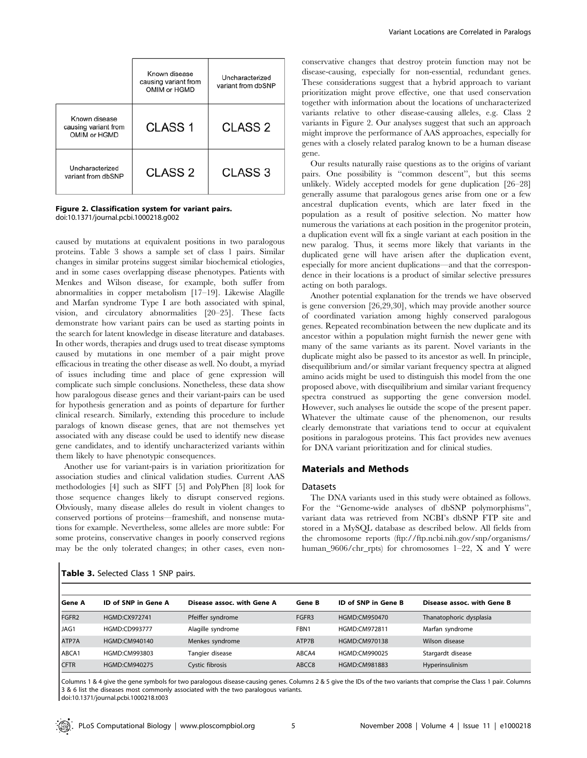|                                                       | Known disease<br>causing variant from<br>OMIM or HGMD | Uncharacterized<br>variant from dbSNP |
|-------------------------------------------------------|-------------------------------------------------------|---------------------------------------|
| Known disease<br>causing variant from<br>OMIM or HGMD | CLASS <sub>1</sub>                                    | CLASS <sub>2</sub>                    |
| Uncharacterized<br>variant from dbSNP                 | CLASS <sub>2</sub>                                    | CLASS <sub>3</sub>                    |

Figure 2. Classification system for variant pairs. doi:10.1371/journal.pcbi.1000218.g002

caused by mutations at equivalent positions in two paralogous proteins. Table 3 shows a sample set of class 1 pairs. Similar changes in similar proteins suggest similar biochemical etiologies, and in some cases overlapping disease phenotypes. Patients with Menkes and Wilson disease, for example, both suffer from abnormalities in copper metabolism [17–19]. Likewise Alagille and Marfan syndrome Type I are both associated with spinal, vision, and circulatory abnormalities [20–25]. These facts demonstrate how variant pairs can be used as starting points in the search for latent knowledge in disease literature and databases. In other words, therapies and drugs used to treat disease symptoms caused by mutations in one member of a pair might prove efficacious in treating the other disease as well. No doubt, a myriad of issues including time and place of gene expression will complicate such simple conclusions. Nonetheless, these data show how paralogous disease genes and their variant-pairs can be used for hypothesis generation and as points of departure for further clinical research. Similarly, extending this procedure to include paralogs of known disease genes, that are not themselves yet associated with any disease could be used to identify new disease gene candidates, and to identify uncharacterized variants within them likely to have phenotypic consequences.

Another use for variant-pairs is in variation prioritization for association studies and clinical validation studies. Current AAS methodologies [4] such as SIFT [5] and PolyPhen [8] look for those sequence changes likely to disrupt conserved regions. Obviously, many disease alleles do result in violent changes to conserved portions of proteins—frameshift, and nonsense mutations for example. Nevertheless, some alleles are more subtle: For some proteins, conservative changes in poorly conserved regions may be the only tolerated changes; in other cases, even nonconservative changes that destroy protein function may not be disease-causing, especially for non-essential, redundant genes. These considerations suggest that a hybrid approach to variant prioritization might prove effective, one that used conservation together with information about the locations of uncharacterized variants relative to other disease-causing alleles, e.g. Class 2 variants in Figure 2. Our analyses suggest that such an approach might improve the performance of AAS approaches, especially for genes with a closely related paralog known to be a human disease gene.

Our results naturally raise questions as to the origins of variant pairs. One possibility is ''common descent'', but this seems unlikely. Widely accepted models for gene duplication [26–28] generally assume that paralogous genes arise from one or a few ancestral duplication events, which are later fixed in the population as a result of positive selection. No matter how numerous the variations at each position in the progenitor protein, a duplication event will fix a single variant at each position in the new paralog. Thus, it seems more likely that variants in the duplicated gene will have arisen after the duplication event, especially for more ancient duplications—and that the correspondence in their locations is a product of similar selective pressures acting on both paralogs.

Another potential explanation for the trends we have observed is gene conversion [26,29,30], which may provide another source of coordinated variation among highly conserved paralogous genes. Repeated recombination between the new duplicate and its ancestor within a population might furnish the newer gene with many of the same variants as its parent. Novel variants in the duplicate might also be passed to its ancestor as well. In principle, disequilibrium and/or similar variant frequency spectra at aligned amino acids might be used to distinguish this model from the one proposed above, with disequilibrium and similar variant frequency spectra construed as supporting the gene conversion model. However, such analyses lie outside the scope of the present paper. Whatever the ultimate cause of the phenomenon, our results clearly demonstrate that variations tend to occur at equivalent positions in paralogous proteins. This fact provides new avenues for DNA variant prioritization and for clinical studies.

# Materials and Methods

#### Datasets

The DNA variants used in this study were obtained as follows. For the ''Genome-wide analyses of dbSNP polymorphisms'', variant data was retrieved from NCBI's dbSNP FTP site and stored in a MySQL database as described below. All fields from the chromosome reports (ftp://ftp.ncbi.nih.gov/snp/organisms/ human\_9606/chr\_rpts) for chromosomes 1–22, X and Y were

| Gene A       | ID of SNP in Gene A  | Disease assoc. with Gene A | Gene B | ID of SNP in Gene B  | Disease assoc. with Gene B |
|--------------|----------------------|----------------------------|--------|----------------------|----------------------------|
| <b>FGFR2</b> | <b>HGMD:CX972741</b> | Pfeiffer syndrome          | FGFR3  | HGMD:CM950470        | Thanatophoric dysplasia    |
| JAG1         | <b>HGMD:CD993777</b> | Alagille syndrome          | FBN1   | HGMD:CM972811        | Marfan syndrome            |
| ATP7A        | HGMD:CM940140        | Menkes syndrome            | ATP7B  | <b>HGMD:CM970138</b> | Wilson disease             |
| ABCA1        | HGMD:CM993803        | Tangier disease            | ABCA4  | HGMD:CM990025        | Stargardt disease          |
| <b>CFTR</b>  | <b>HGMD:CM940275</b> | Cystic fibrosis            | ABCC8  | HGMD:CM981883        | Hyperinsulinism            |

Columns 1 & 4 give the gene symbols for two paralogous disease-causing genes. Columns 2 & 5 give the IDs of the two variants that comprise the Class 1 pair. Columns 3 & 6 list the diseases most commonly associated with the two paralogous variants.

doi:10.1371/journal.pcbi.1000218.t003

Table 3. Selected Class 1 SNP pairs.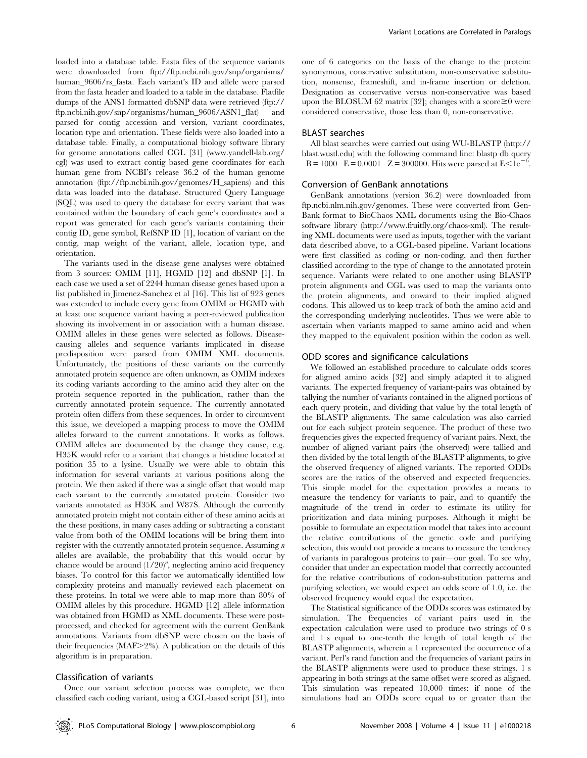loaded into a database table. Fasta files of the sequence variants were downloaded from ftp://ftp.ncbi.nih.gov/snp/organisms/ human\_9606/rs\_fasta. Each variant's ID and allele were parsed from the fasta header and loaded to a table in the database. Flatfile dumps of the ANS1 formatted dbSNP data were retrieved (ftp:// ftp.ncbi.nih.gov/snp/organisms/human\_9606/ASN1\_flat) and parsed for contig accession and version, variant coordinates, location type and orientation. These fields were also loaded into a database table. Finally, a computational biology software library for genome annotations called CGL [31] (www.yandell-lab.org/ cgl) was used to extract contig based gene coordinates for each human gene from NCBI's release 36.2 of the human genome annotation (ftp://ftp.ncbi.nih.gov/genomes/H\_sapiens) and this data was loaded into the database. Structured Query Language (SQL) was used to query the database for every variant that was contained within the boundary of each gene's coordinates and a report was generated for each gene's variants containing their contig ID, gene symbol, RefSNP ID [1], location of variant on the contig, map weight of the variant, allele, location type, and orientation.

The variants used in the disease gene analyses were obtained from 3 sources: OMIM [11], HGMD [12] and dbSNP [1]. In each case we used a set of 2244 human disease genes based upon a list published in Jimenez-Sanchez et al [16]. This list of 923 genes was extended to include every gene from OMIM or HGMD with at least one sequence variant having a peer-reviewed publication showing its involvement in or association with a human disease. OMIM alleles in these genes were selected as follows. Diseasecausing alleles and sequence variants implicated in disease predisposition were parsed from OMIM XML documents. Unfortunately, the positions of these variants on the currently annotated protein sequence are often unknown, as OMIM indexes its coding variants according to the amino acid they alter on the protein sequence reported in the publication, rather than the currently annotated protein sequence. The currently annotated protein often differs from these sequences. In order to circumvent this issue, we developed a mapping process to move the OMIM alleles forward to the current annotations. It works as follows. OMIM alleles are documented by the change they cause, e.g. H35K would refer to a variant that changes a histidine located at position 35 to a lysine. Usually we were able to obtain this information for several variants at various positions along the protein. We then asked if there was a single offset that would map each variant to the currently annotated protein. Consider two variants annotated as H35K and W87S. Although the currently annotated protein might not contain either of these amino acids at the these positions, in many cases adding or subtracting a constant value from both of the OMIM locations will be bring them into register with the currently annotated protein sequence. Assuming *n* alleles are available, the probability that this would occur by chance would be around  $(1/20)^n$ , neglecting amino acid frequency biases. To control for this factor we automatically identified low complexity proteins and manually reviewed each placement on these proteins. In total we were able to map more than 80% of OMIM alleles by this procedure. HGMD [12] allele information was obtained from HGMD as XML documents. These were postprocessed, and checked for agreement with the current GenBank annotations. Variants from dbSNP were chosen on the basis of their frequencies ( $MAF > 2\%$ ). A publication on the details of this algorithm is in preparation.

#### Classification of variants

one of 6 categories on the basis of the change to the protein: synonymous, conservative substitution, non-conservative substitution, nonsense, frameshift, and in-frame insertion or deletion. Designation as conservative versus non-conservative was based upon the BLOSUM 62 matrix [32]; changes with a score  $\geq 0$  were considered conservative, those less than 0, non-conservative.

## BLAST searches

All blast searches were carried out using WU-BLASTP (http:// blast.wustl.edu) with the following command line: blastp db query  $-B = 1000 - E = 0.0001 - Z = 300000$ . Hits were parsed at  $E < 1e^{-6}$ .

#### Conversion of GenBank annotations

GenBank annotations (version 36.2) were downloaded from ftp.ncbi.nlm.nih.gov/genomes. These were converted from Gen-Bank format to BioChaos XML documents using the Bio-Chaos software library (http://www.fruitfly.org/chaos-xml). The resulting XML documents were used as inputs, together with the variant data described above, to a CGL-based pipeline. Variant locations were first classified as coding or non-coding, and then further classified according to the type of change to the annotated protein sequence. Variants were related to one another using BLASTP protein alignments and CGL was used to map the variants onto the protein alignments, and onward to their implied aligned codons. This allowed us to keep track of both the amino acid and the corresponding underlying nucleotides. Thus we were able to ascertain when variants mapped to same amino acid and when they mapped to the equivalent position within the codon as well.

#### ODD scores and significance calculations

We followed an established procedure to calculate odds scores for aligned amino acids [32] and simply adapted it to aligned variants. The expected frequency of variant-pairs was obtained by tallying the number of variants contained in the aligned portions of each query protein, and dividing that value by the total length of the BLASTP alignments. The same calculation was also carried out for each subject protein sequence. The product of these two frequencies gives the expected frequency of variant pairs. Next, the number of aligned variant pairs (the observed) were tallied and then divided by the total length of the BLASTP alignments, to give the observed frequency of aligned variants. The reported ODDs scores are the ratios of the observed and expected frequencies. This simple model for the expectation provides a means to measure the tendency for variants to pair, and to quantify the magnitude of the trend in order to estimate its utility for prioritization and data mining purposes. Although it might be possible to formulate an expectation model that takes into account the relative contributions of the genetic code and purifying selection, this would not provide a means to measure the tendency of variants in paralogous proteins to pair—our goal. To see why, consider that under an expectation model that correctly accounted for the relative contributions of codon-substitution patterns and purifying selection, we would expect an odds score of 1.0, i.e. the observed frequency would equal the expectation.

The Statistical significance of the ODDs scores was estimated by simulation. The frequencies of variant pairs used in the expectation calculation were used to produce two strings of 0 s and 1 s equal to one-tenth the length of total length of the BLASTP alignments, wherein a 1 represented the occurrence of a variant. Perl's rand function and the frequencies of variant pairs in the BLASTP alignments were used to produce these strings. 1 s appearing in both strings at the same offset were scored as aligned. This simulation was repeated 10,000 times; if none of the simulations had an ODDs score equal to or greater than the